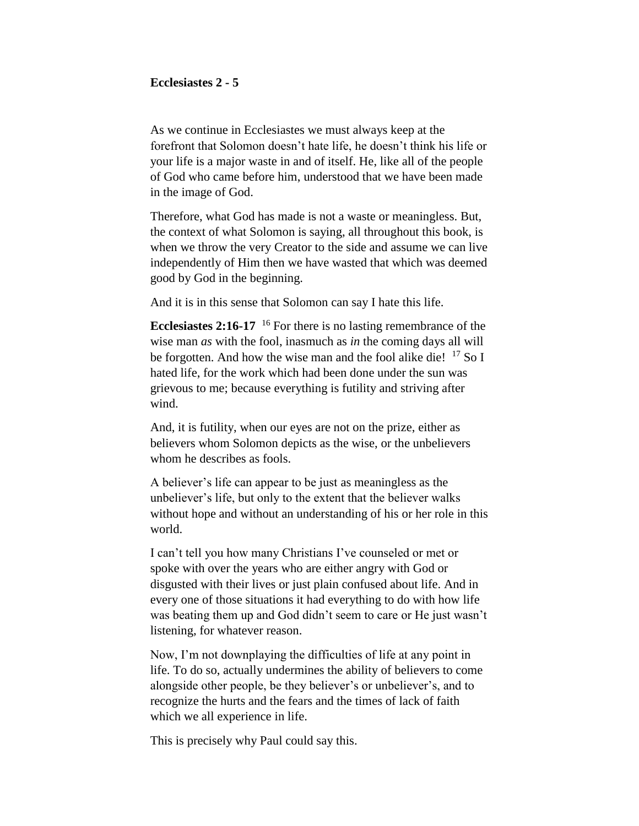### **Ecclesiastes 2 - 5**

As we continue in Ecclesiastes we must always keep at the forefront that Solomon doesn't hate life, he doesn't think his life or your life is a major waste in and of itself. He, like all of the people of God who came before him, understood that we have been made in the image of God.

Therefore, what God has made is not a waste or meaningless. But, the context of what Solomon is saying, all throughout this book, is when we throw the very Creator to the side and assume we can live independently of Him then we have wasted that which was deemed good by God in the beginning.

And it is in this sense that Solomon can say I hate this life.

**Ecclesiastes 2:16-17** <sup>16</sup> For there is no lasting remembrance of the wise man *as* with the fool, inasmuch as *in* the coming days all will be forgotten. And how the wise man and the fool alike die!  $^{17}$  So I hated life, for the work which had been done under the sun was grievous to me; because everything is futility and striving after wind.

And, it is futility, when our eyes are not on the prize, either as believers whom Solomon depicts as the wise, or the unbelievers whom he describes as fools.

A believer's life can appear to be just as meaningless as the unbeliever's life, but only to the extent that the believer walks without hope and without an understanding of his or her role in this world.

I can't tell you how many Christians I've counseled or met or spoke with over the years who are either angry with God or disgusted with their lives or just plain confused about life. And in every one of those situations it had everything to do with how life was beating them up and God didn't seem to care or He just wasn't listening, for whatever reason.

Now, I'm not downplaying the difficulties of life at any point in life. To do so, actually undermines the ability of believers to come alongside other people, be they believer's or unbeliever's, and to recognize the hurts and the fears and the times of lack of faith which we all experience in life.

This is precisely why Paul could say this.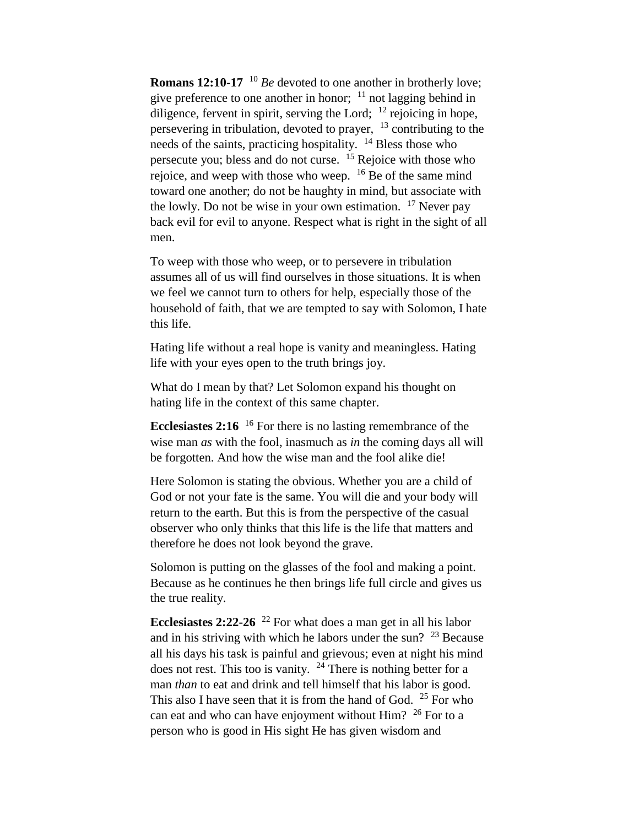**Romans 12:10-17** <sup>10</sup> *Be* devoted to one another in brotherly love; give preference to one another in honor;  $11$  not lagging behind in diligence, fervent in spirit, serving the Lord; <sup>12</sup> rejoicing in hope, persevering in tribulation, devoted to prayer, <sup>13</sup> contributing to the needs of the saints, practicing hospitality.  $14$  Bless those who persecute you; bless and do not curse. <sup>15</sup> Rejoice with those who rejoice, and weep with those who weep. <sup>16</sup> Be of the same mind toward one another; do not be haughty in mind, but associate with the lowly. Do not be wise in your own estimation.  $17$  Never pay back evil for evil to anyone. Respect what is right in the sight of all men.

To weep with those who weep, or to persevere in tribulation assumes all of us will find ourselves in those situations. It is when we feel we cannot turn to others for help, especially those of the household of faith, that we are tempted to say with Solomon, I hate this life.

Hating life without a real hope is vanity and meaningless. Hating life with your eyes open to the truth brings joy.

What do I mean by that? Let Solomon expand his thought on hating life in the context of this same chapter.

**Ecclesiastes 2:16** <sup>16</sup> For there is no lasting remembrance of the wise man *as* with the fool, inasmuch as *in* the coming days all will be forgotten. And how the wise man and the fool alike die!

Here Solomon is stating the obvious. Whether you are a child of God or not your fate is the same. You will die and your body will return to the earth. But this is from the perspective of the casual observer who only thinks that this life is the life that matters and therefore he does not look beyond the grave.

Solomon is putting on the glasses of the fool and making a point. Because as he continues he then brings life full circle and gives us the true reality.

**Ecclesiastes 2:22-26** <sup>22</sup> For what does a man get in all his labor and in his striving with which he labors under the sun?  $23$  Because all his days his task is painful and grievous; even at night his mind does not rest. This too is vanity.  $24$  There is nothing better for a man *than* to eat and drink and tell himself that his labor is good. This also I have seen that it is from the hand of God.  $25$  For who can eat and who can have enjoyment without Him? <sup>26</sup> For to a person who is good in His sight He has given wisdom and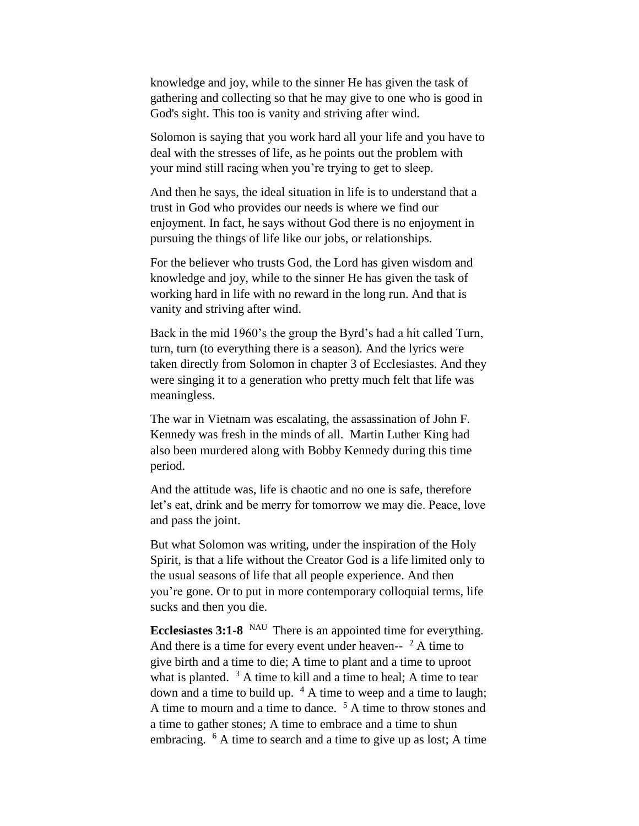knowledge and joy, while to the sinner He has given the task of gathering and collecting so that he may give to one who is good in God's sight. This too is vanity and striving after wind.

Solomon is saying that you work hard all your life and you have to deal with the stresses of life, as he points out the problem with your mind still racing when you're trying to get to sleep.

And then he says, the ideal situation in life is to understand that a trust in God who provides our needs is where we find our enjoyment. In fact, he says without God there is no enjoyment in pursuing the things of life like our jobs, or relationships.

For the believer who trusts God, the Lord has given wisdom and knowledge and joy, while to the sinner He has given the task of working hard in life with no reward in the long run. And that is vanity and striving after wind.

Back in the mid 1960's the group the Byrd's had a hit called Turn, turn, turn (to everything there is a season). And the lyrics were taken directly from Solomon in chapter 3 of Ecclesiastes. And they were singing it to a generation who pretty much felt that life was meaningless.

The war in Vietnam was escalating, the assassination of John F. Kennedy was fresh in the minds of all. Martin Luther King had also been murdered along with Bobby Kennedy during this time period.

And the attitude was, life is chaotic and no one is safe, therefore let's eat, drink and be merry for tomorrow we may die. Peace, love and pass the joint.

But what Solomon was writing, under the inspiration of the Holy Spirit, is that a life without the Creator God is a life limited only to the usual seasons of life that all people experience. And then you're gone. Or to put in more contemporary colloquial terms, life sucks and then you die.

**Ecclesiastes 3:1-8** NAU There is an appointed time for everything. And there is a time for every event under heaven--  $2$  A time to give birth and a time to die; A time to plant and a time to uproot what is planted.  $3 \text{ A}$  time to kill and a time to heal; A time to tear down and a time to build up.  $4 \text{ A}$  time to weep and a time to laugh; A time to mourn and a time to dance. <sup>5</sup> A time to throw stones and a time to gather stones; A time to embrace and a time to shun embracing. <sup>6</sup> A time to search and a time to give up as lost; A time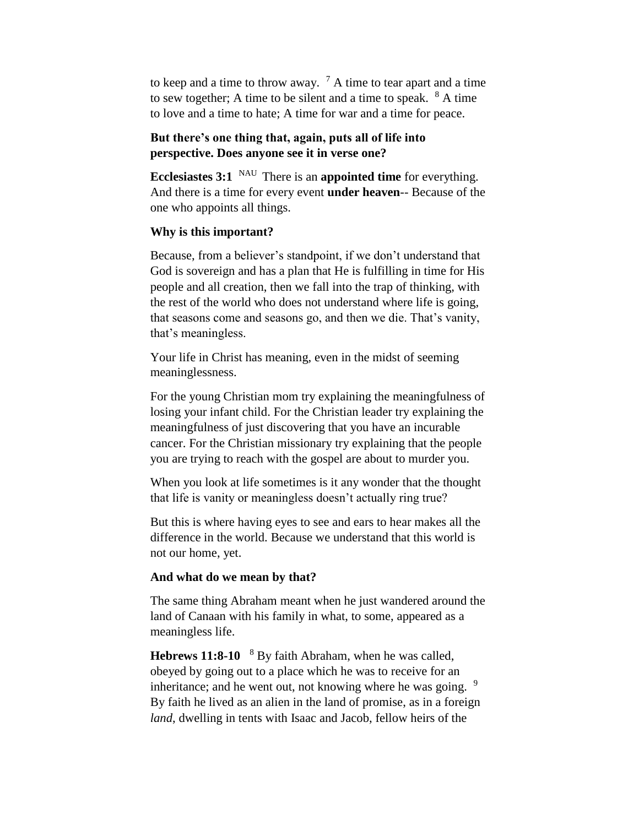to keep and a time to throw away.  $\frac{7}{1}$  A time to tear apart and a time to sew together; A time to be silent and a time to speak.  $8 \text{ A time}$ to love and a time to hate; A time for war and a time for peace.

# **But there's one thing that, again, puts all of life into perspective. Does anyone see it in verse one?**

**Ecclesiastes 3:1** NAU There is an **appointed time** for everything. And there is a time for every event **under heaven**-- Because of the one who appoints all things.

## **Why is this important?**

Because, from a believer's standpoint, if we don't understand that God is sovereign and has a plan that He is fulfilling in time for His people and all creation, then we fall into the trap of thinking, with the rest of the world who does not understand where life is going, that seasons come and seasons go, and then we die. That's vanity, that's meaningless.

Your life in Christ has meaning, even in the midst of seeming meaninglessness.

For the young Christian mom try explaining the meaningfulness of losing your infant child. For the Christian leader try explaining the meaningfulness of just discovering that you have an incurable cancer. For the Christian missionary try explaining that the people you are trying to reach with the gospel are about to murder you.

When you look at life sometimes is it any wonder that the thought that life is vanity or meaningless doesn't actually ring true?

But this is where having eyes to see and ears to hear makes all the difference in the world. Because we understand that this world is not our home, yet.

### **And what do we mean by that?**

The same thing Abraham meant when he just wandered around the land of Canaan with his family in what, to some, appeared as a meaningless life.

**Hebrews 11:8-10**  <sup>8</sup> By faith Abraham, when he was called, obeyed by going out to a place which he was to receive for an inheritance; and he went out, not knowing where he was going.  $9$ By faith he lived as an alien in the land of promise, as in a foreign *land*, dwelling in tents with Isaac and Jacob, fellow heirs of the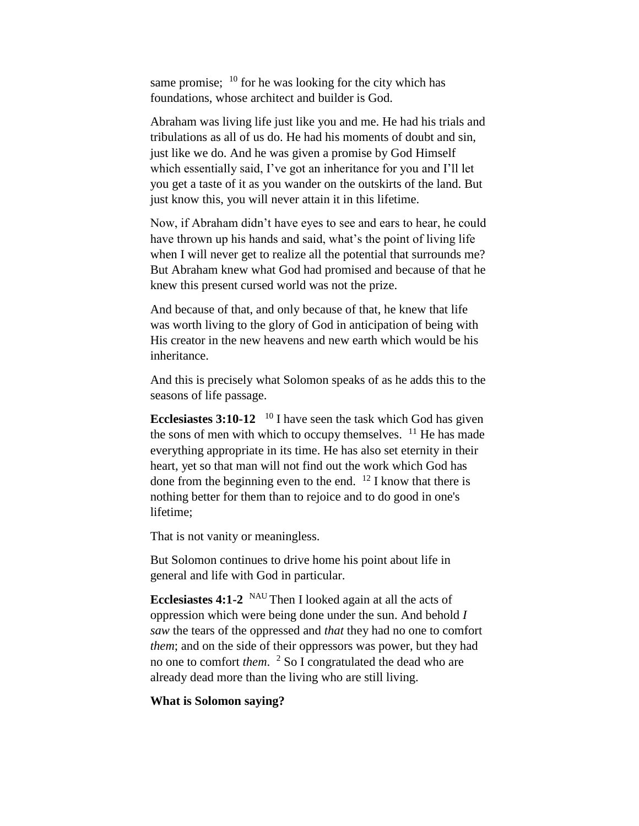same promise; <sup>10</sup> for he was looking for the city which has foundations, whose architect and builder is God.

Abraham was living life just like you and me. He had his trials and tribulations as all of us do. He had his moments of doubt and sin, just like we do. And he was given a promise by God Himself which essentially said, I've got an inheritance for you and I'll let you get a taste of it as you wander on the outskirts of the land. But just know this, you will never attain it in this lifetime.

Now, if Abraham didn't have eyes to see and ears to hear, he could have thrown up his hands and said, what's the point of living life when I will never get to realize all the potential that surrounds me? But Abraham knew what God had promised and because of that he knew this present cursed world was not the prize.

And because of that, and only because of that, he knew that life was worth living to the glory of God in anticipation of being with His creator in the new heavens and new earth which would be his inheritance.

And this is precisely what Solomon speaks of as he adds this to the seasons of life passage.

**Ecclesiastes 3:10-12** <sup>10</sup> I have seen the task which God has given the sons of men with which to occupy themselves.  $11$  He has made everything appropriate in its time. He has also set eternity in their heart, yet so that man will not find out the work which God has done from the beginning even to the end.  $12$  I know that there is nothing better for them than to rejoice and to do good in one's lifetime;

That is not vanity or meaningless.

But Solomon continues to drive home his point about life in general and life with God in particular.

**Ecclesiastes 4:1-2** NAU Then I looked again at all the acts of oppression which were being done under the sun. And behold *I saw* the tears of the oppressed and *that* they had no one to comfort *them*; and on the side of their oppressors was power, but they had no one to comfort *them*. <sup>2</sup> So I congratulated the dead who are already dead more than the living who are still living.

### **What is Solomon saying?**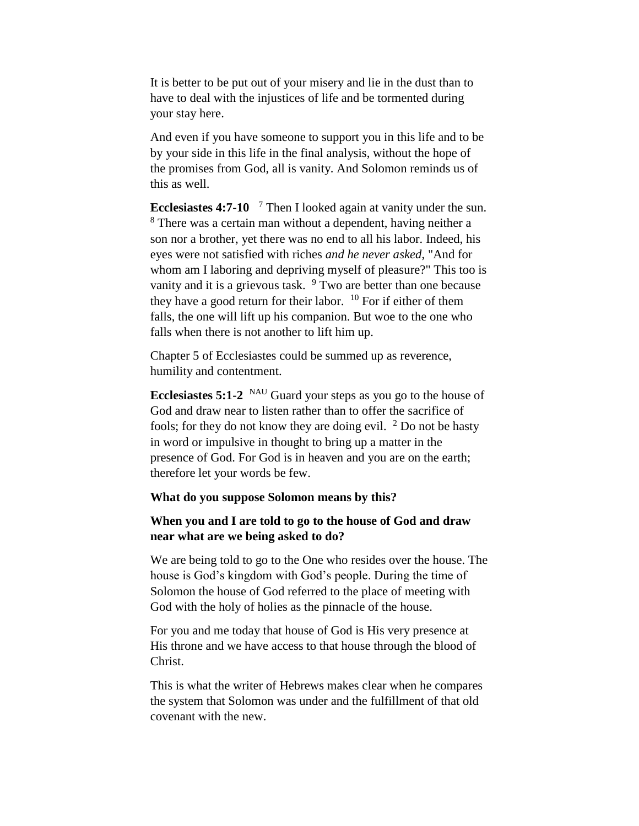It is better to be put out of your misery and lie in the dust than to have to deal with the injustices of life and be tormented during your stay here.

And even if you have someone to support you in this life and to be by your side in this life in the final analysis, without the hope of the promises from God, all is vanity. And Solomon reminds us of this as well.

**Ecclesiastes 4:7-10**  <sup>7</sup> Then I looked again at vanity under the sun. <sup>8</sup> There was a certain man without a dependent, having neither a son nor a brother, yet there was no end to all his labor. Indeed, his eyes were not satisfied with riches *and he never asked*, "And for whom am I laboring and depriving myself of pleasure?" This too is vanity and it is a grievous task.  $9$  Two are better than one because they have a good return for their labor.  $10$  For if either of them falls, the one will lift up his companion. But woe to the one who falls when there is not another to lift him up.

Chapter 5 of Ecclesiastes could be summed up as reverence, humility and contentment.

**Ecclesiastes 5:1-2** NAU Guard your steps as you go to the house of God and draw near to listen rather than to offer the sacrifice of fools; for they do not know they are doing evil.  $2$  Do not be hasty in word or impulsive in thought to bring up a matter in the presence of God. For God is in heaven and you are on the earth; therefore let your words be few.

#### **What do you suppose Solomon means by this?**

## **When you and I are told to go to the house of God and draw near what are we being asked to do?**

We are being told to go to the One who resides over the house. The house is God's kingdom with God's people. During the time of Solomon the house of God referred to the place of meeting with God with the holy of holies as the pinnacle of the house.

For you and me today that house of God is His very presence at His throne and we have access to that house through the blood of Christ.

This is what the writer of Hebrews makes clear when he compares the system that Solomon was under and the fulfillment of that old covenant with the new.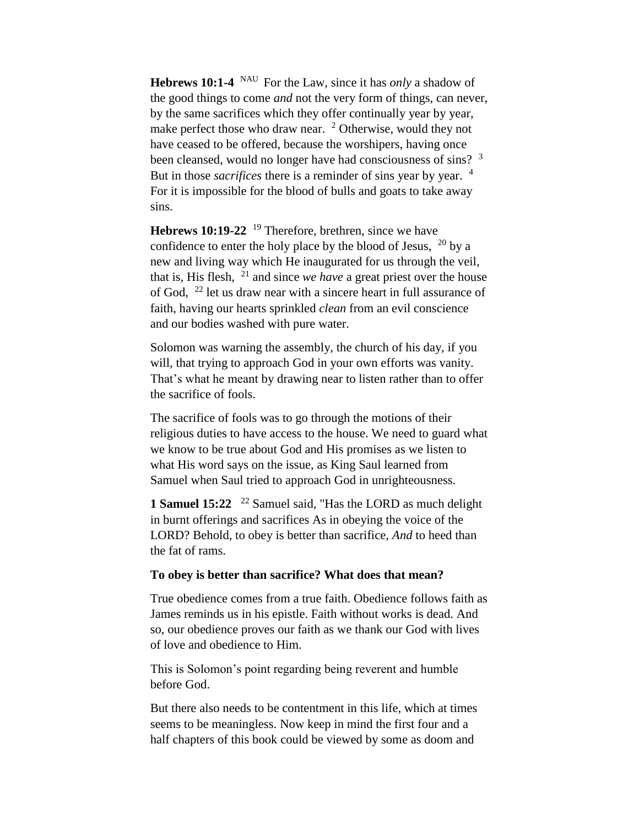**Hebrews 10:1-4** NAU For the Law, since it has *only* a shadow of the good things to come *and* not the very form of things, can never, by the same sacrifices which they offer continually year by year, make perfect those who draw near. <sup>2</sup> Otherwise, would they not have ceased to be offered, because the worshipers, having once been cleansed, would no longer have had consciousness of sins? <sup>3</sup> But in those *sacrifices* there is a reminder of sins year by year. <sup>4</sup> For it is impossible for the blood of bulls and goats to take away sins.

**Hebrews 10:19-22** <sup>19</sup> Therefore, brethren, since we have confidence to enter the holy place by the blood of Jesus,  $^{20}$  by a new and living way which He inaugurated for us through the veil, that is, His flesh, <sup>21</sup> and since *we have* a great priest over the house of God, <sup>22</sup> let us draw near with a sincere heart in full assurance of faith, having our hearts sprinkled *clean* from an evil conscience and our bodies washed with pure water.

Solomon was warning the assembly, the church of his day, if you will, that trying to approach God in your own efforts was vanity. That's what he meant by drawing near to listen rather than to offer the sacrifice of fools.

The sacrifice of fools was to go through the motions of their religious duties to have access to the house. We need to guard what we know to be true about God and His promises as we listen to what His word says on the issue, as King Saul learned from Samuel when Saul tried to approach God in unrighteousness.

**1 Samuel 15:22**  <sup>22</sup> Samuel said, "Has the LORD as much delight in burnt offerings and sacrifices As in obeying the voice of the LORD? Behold, to obey is better than sacrifice, *And* to heed than the fat of rams.

#### **To obey is better than sacrifice? What does that mean?**

True obedience comes from a true faith. Obedience follows faith as James reminds us in his epistle. Faith without works is dead. And so, our obedience proves our faith as we thank our God with lives of love and obedience to Him.

This is Solomon's point regarding being reverent and humble before God.

But there also needs to be contentment in this life, which at times seems to be meaningless. Now keep in mind the first four and a half chapters of this book could be viewed by some as doom and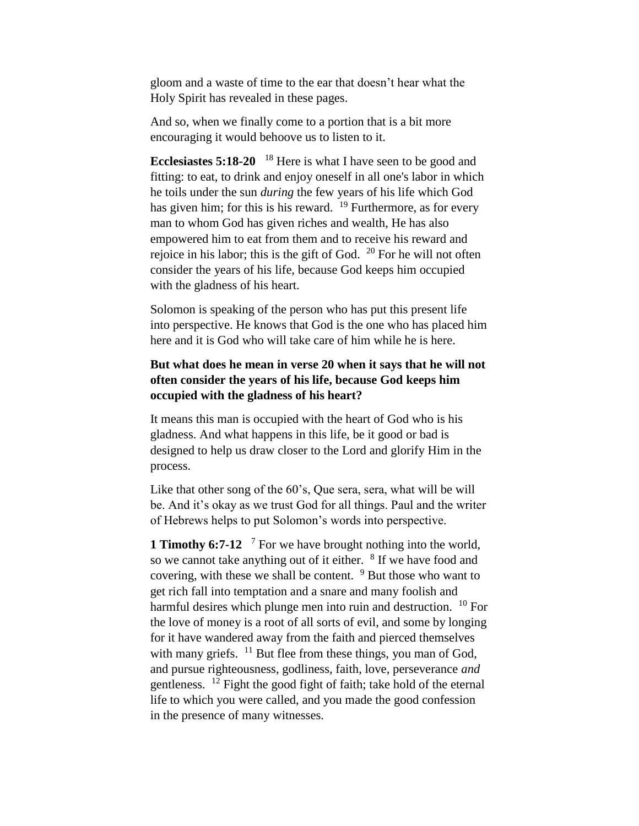gloom and a waste of time to the ear that doesn't hear what the Holy Spirit has revealed in these pages.

And so, when we finally come to a portion that is a bit more encouraging it would behoove us to listen to it.

**Ecclesiastes 5:18-20** <sup>18</sup> Here is what I have seen to be good and fitting: to eat, to drink and enjoy oneself in all one's labor in which he toils under the sun *during* the few years of his life which God has given him; for this is his reward.  $19$  Furthermore, as for every man to whom God has given riches and wealth, He has also empowered him to eat from them and to receive his reward and rejoice in his labor; this is the gift of God. <sup>20</sup> For he will not often consider the years of his life, because God keeps him occupied with the gladness of his heart.

Solomon is speaking of the person who has put this present life into perspective. He knows that God is the one who has placed him here and it is God who will take care of him while he is here.

# **But what does he mean in verse 20 when it says that he will not often consider the years of his life, because God keeps him occupied with the gladness of his heart?**

It means this man is occupied with the heart of God who is his gladness. And what happens in this life, be it good or bad is designed to help us draw closer to the Lord and glorify Him in the process.

Like that other song of the 60's, Oue sera, sera, what will be will be. And it's okay as we trust God for all things. Paul and the writer of Hebrews helps to put Solomon's words into perspective.

**1 Timothy 6:7-12** <sup>7</sup> For we have brought nothing into the world, so we cannot take anything out of it either. <sup>8</sup> If we have food and covering, with these we shall be content.  $9$  But those who want to get rich fall into temptation and a snare and many foolish and harmful desires which plunge men into ruin and destruction. <sup>10</sup> For the love of money is a root of all sorts of evil, and some by longing for it have wandered away from the faith and pierced themselves with many griefs.  $11$  But flee from these things, you man of God, and pursue righteousness, godliness, faith, love, perseverance *and*  gentleness. <sup>12</sup> Fight the good fight of faith; take hold of the eternal life to which you were called, and you made the good confession in the presence of many witnesses.